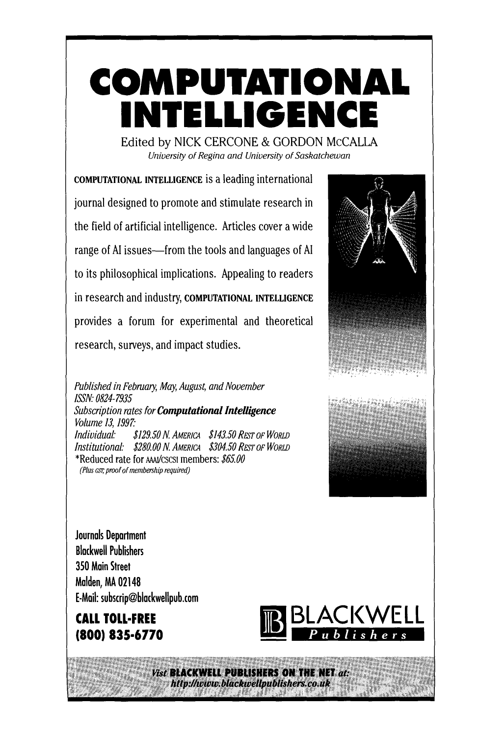# **COMPUTATIONAL NTELLIGENC**

Edited by NICK CERCONE & GORDON McCALLA *University of Regina and University of Saskatchewan* 

COMPUTATIONAL INTELLIGENCE is a leading international journal designed to promote and stimulate research in the field of artificial intelligence. Articles cover a wide range of AI issues—from the tools and languages of AI to its philosophical implications. Appealing to readers in research and industry, COMPUTATIONAL INTELLIGENCE provides a forum for experimental and theoretical research, surveys, and impact studies.

*Published in February, May, August, and November ISSN" 0824-7935 Subscription rates for Computational Intelligence Volume 13, 1997." Individual: \$129.50 N. AMERICA \$143.50 REST OF WORLD Institutional: \$280.00 N AMERICA \$304.50 REST OF WORLD*  \*Reduced rate for AA~J/CSCSl members: *\$65.00 (Plus csr, proof of membership required)* 



**Journals Department Blackwell Publishers 350 Main Street Malden, MA 02148**  E-Mail: subscrip@blackwellpub.com

**CALL TOLL-FREE (800) 835-6770** 



 $V(\mathbf{c}) = V(\mathbf{c})$  and  $\mathbf{c}$  with  $\mathbf{c}$  is  $\mathbf{c}$  and  $\mathbf{c}$  and  $\mathbf{c}$  and  $\mathbf{c}$  and  $\mathbf{c}$ ~i ~ii ~i~ ~)iii~i ~'>:' ~ii(iiii~" ~i~i(i~ ~i ~, ,, ,'~ ~ ~i~::~.~ i~ ~ ~i'~ ~:~i~i(~ ~ ~i~i~ '~i: ~i~i ~i ~ ~i~ii~ ~:~ . ~ ~)i~i(~i~i~ iii~£iiiiiiii~iiil, ~ iii~iiii~li~i ~i~iii ~iiii~iiiiiiiiiii~

............................................................ IIIII -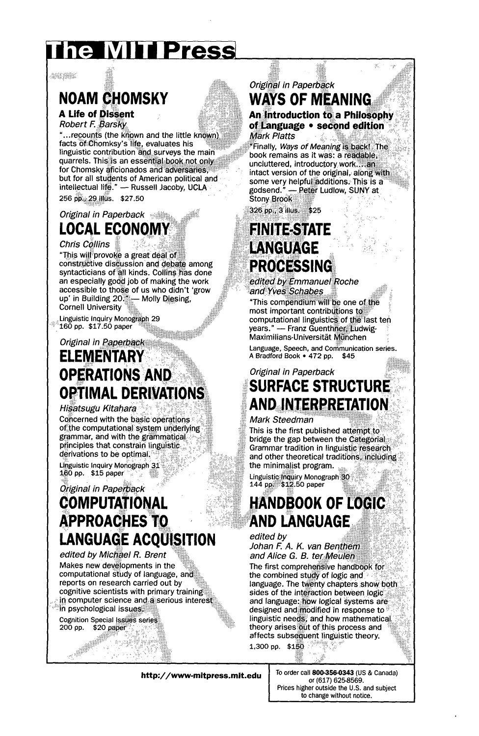# he MITIPress

an ma

## **NOAM CHOMSKY**

**A Life of Dissent Robert F. Barsky** 

"...recounts (the known and the little known) facts of Chomksy's life, evaluates his linguistic contribution and surveys the main quarrels. This is an essential book not only for Chomsky aficionados and adversaries. but for all students of American political and intellectual life." - Russell Jacoby, UCLA 256 pp., 29 illus. \$27.50

*Original in Paperback* 

## **LOCAL ECONOMY**

**Chris Collins** 

"This will provoke a great deal of constructive discussion and debate among syntacticians of all kinds. Collins has done an especially good job of making the work accessible to those of us who didn't 'grow • , • :k ..... up m Bu~ drag 20::.:;~-- Molly D esmg Cornell University

Linguistic Inquiry Monograph 29  $160$  pp.  $$17.50$  paper

**Original in Paperback ELEMENTAR3 OPERATIONS OPTIMAL DERIVATIONS** 

#### *HiSatsugu Kitahara*

Concerned with the basic operations of the computational system underlying grammar, and with the grammatical  $principle$  that constrain linguistic. derivations to be optimal.

Linguistic Inquiry Monograph 31 160 pp. \$15 paper

### *Original in Paperback*  **COMPUTATIONAL APPROACHES TO LANGUAGE ACOUISITION**

*edited by Michael R. Brent*  Makes new developments in the computational study of language, and reports on research carried out by cognitive scientists with primary training: in computer science and a serious interest in psychological issues:

Cognition Special Issues series  $200$  pp.  $$20$  paper

### Original in Paperback **WAYS OF MEANING**

An Introduction to a Philosophy of Language • second edition **Mark Platts** 

X.

"Finally, Ways of Meaning is back! The book remains as it was: a readable. uncluttered, introductory work....an intact version of the original, along with some very helpful additions. This is a godsend," ~Pe~t Ludlow, SUNYat ..........

326 pp., 3 illus. \$25

### **FINITE-STATE LANGUAGE PROCESSING**

edited by Emmanuel Roche and Yves Schabes

"This compendium will be one of the most important contributions to computational linguistics of the last ten years." - Franz Guenthner, Ludwig-Maximilians-Universität München

Language, Speech, and Communication series. A Bradford Book \* 472 DP. \$45

### *Original in Paperback*  **SURFACE STRUCTURE ANDINTERPRETATION**

#### *Mark Steedman*

This is the first published attempt to bridge the gap between the Categorial: Grammar tradition in linguistic research and other theoretical traditions, including the minimalist program.

Linguistic: Inquiry Monograph 30. 144 pp. \$12.50 paper

### **HANDBOOK OF LOGIC AND LANGUAGE**

*edited by* Johan F. A. K. van Benthem and Alice G. B. ter Meulen The first comprehensive handbook for the combined study of logic and language. The twenty chapters show both sides of the interaction between logic and language: how logical systems are designed and modified in response to linguistic needs, and how mathematical theory arises out of this process and affects subsequent linguistic theory. 1,300 pp. \$150

**http://www-mitpress.mit.edu 10 order call 800-356-0343 (US & Canada)** 

or (617) 625-8569. Prices higher outside the U.S. and subject to change without notice.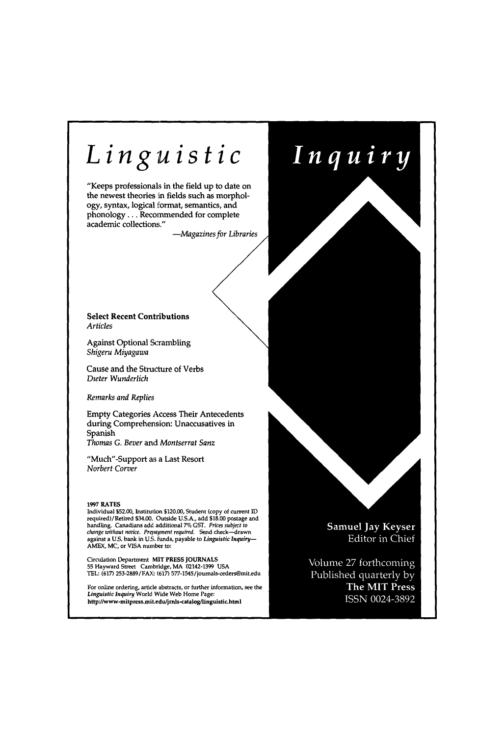# *Linguist*

"Keeps professionals in the field up to date on the newest theories in fields such as morphology, syntax, logical format, semanti phonology . . . Recommended for complete academic collections."

-Magazines for Libraries

#### **Select Recent Contributions**  *Articles*

Against Optional Scrambling *Shigeru Miyagawa* 

Cause and the Structure of Verbs *D~eter Wunderlich* 

*Remarks and Replies* 

Empty Categories Access Their Antecedents during Comprehension: Unaccusatives in Spanish *Thomas G. Bever* and *Montserrat San:* 

"Much"-Support as a Last Resort *Norbert Corver* 

#### **1997** RATES

Individual \$52.00, Institution \$120.00, Student (cc<br>required)/Retired \$34.00. Outside U.S.A., add \$1 handling. Canadians add. additional 7% GST. Prices subject to *change without notice. Prepayment required. Send c*<br>against a U.S. bank in U.S. funds, payable to *Ling* AMEX, MC, or VISA number to:

Circulation Department MIT PRESS JOURNALS 55 Hayward Street Cambridge, MA 02142-1399<br>TEL: (617) 253-2889/FAX: (617) 577-1545/journal:

For online ordering, article abstracts, or further in<br>*Linguistic Inquiry* World Wide Web Home Page: http://www-mitpress.mit.edu/jrnls-catalog/linguistic.html Samuel Jay Keyser Editor in Chief

Inquiry

Volume 27 forthcoming Published quarterly by The MIT Press ISSN 0024-3892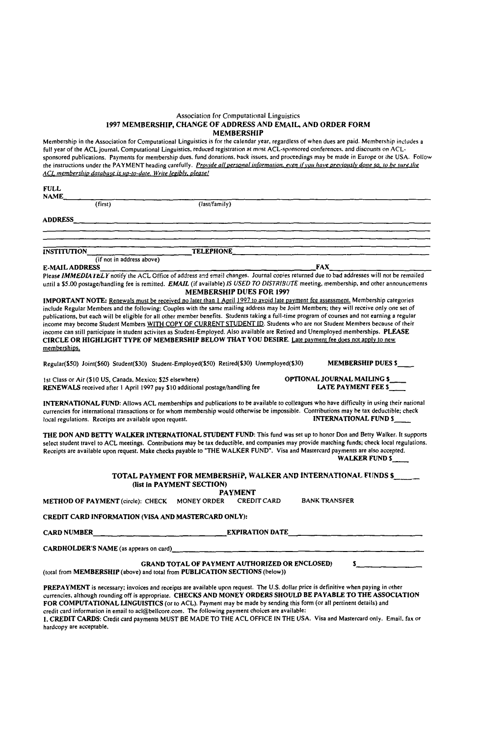#### Association for Computational Linguistics 1997 MEMBERSHIP, CHANGE OF ADDRESS AND EMAIL, AND ORDER FORM MEMBERSHIP

Membership in the Association for Computational Linguistics is for the calendar year, regardless of when dues are paid. Membership includes a<br>full year of the ACL journal, Computational Linguistics, reduced registration at sponsored publications. Payments for membership dues. fund donations, back issues, and proceedings may be made in Europe or the USA. Follow the instructions under the PAYMENT heading carefully. *Provide all personal information, even if you have previously done so, to be sure the*<br>ACL membership database is up-to-date. Write legibly, please!

| <b>FULL</b><br>NAME_                                                                                                                        |                                                       |                                                                                                                                                                                                                                                                                                                                                                                                                                                                                                                                                                 |
|---------------------------------------------------------------------------------------------------------------------------------------------|-------------------------------------------------------|-----------------------------------------------------------------------------------------------------------------------------------------------------------------------------------------------------------------------------------------------------------------------------------------------------------------------------------------------------------------------------------------------------------------------------------------------------------------------------------------------------------------------------------------------------------------|
| (Tirst)                                                                                                                                     | (last/family)                                         |                                                                                                                                                                                                                                                                                                                                                                                                                                                                                                                                                                 |
|                                                                                                                                             |                                                       |                                                                                                                                                                                                                                                                                                                                                                                                                                                                                                                                                                 |
|                                                                                                                                             |                                                       | <u> 1988 - Jan James III, marej estatubatuar eta mondo</u>                                                                                                                                                                                                                                                                                                                                                                                                                                                                                                      |
|                                                                                                                                             |                                                       |                                                                                                                                                                                                                                                                                                                                                                                                                                                                                                                                                                 |
| INSTITUTION<br>(if not in address above)                                                                                                    |                                                       | TELEPHONE <b>TELEPHONE</b>                                                                                                                                                                                                                                                                                                                                                                                                                                                                                                                                      |
| E-MAIL ADDRESS                                                                                                                              |                                                       | <b>FAX</b>                                                                                                                                                                                                                                                                                                                                                                                                                                                                                                                                                      |
|                                                                                                                                             |                                                       | Please IMMEDIATELY notify the ACL Office of address and email changes. Journal copies returned due to bad addresses will not be remailed                                                                                                                                                                                                                                                                                                                                                                                                                        |
|                                                                                                                                             | <b>MEMBERSHIP DUES FOR 1997</b>                       | until a \$5.00 postage/handling fee is remitted. EMAIL (if available) IS USED TO DISTRIBUTE meeting, membership, and other announcements                                                                                                                                                                                                                                                                                                                                                                                                                        |
|                                                                                                                                             |                                                       | IMPORTANT NOTE: Renewals must be received no later than 1 April 1997 to avoid late payment fee assessment. Membership categories                                                                                                                                                                                                                                                                                                                                                                                                                                |
| CIRCLE OR HIGHLIGHT TYPE OF MEMBERSHIP BELOW THAT YOU DESIRE. Late payment fee does not apply to new<br>memberships.                        |                                                       | include Regular Members and the following: Couples with the same mailing address may be Joint Members; they will receive only one set of<br>publications, but each will be eligible for all other member benefits. Students taking a full-time program of courses and not earning a regular<br>income may become Student Members WITH COPY OF CURRENT STUDENT ID. Students who are not Student Members because of their<br>income can still participate in student activites as Student-Employed. Also available are Retired and Unemployed memberships. PLEASE |
| Regular(\$50) Joint(\$60) Student(\$30) Student-Employed(\$50) Retired(\$30) Unemployed(\$30)                                               |                                                       | MEMBERSHIP DUES \$                                                                                                                                                                                                                                                                                                                                                                                                                                                                                                                                              |
| 1st Class or Air (\$10 US, Canada, Mexico; \$25 elsewhere)<br>RENEWALS received after 1 April 1997 pay \$10 additional postage/handling fee |                                                       | OPTIONAL JOURNAL MAILING \$<br>LATE PAYMENT FEE \$                                                                                                                                                                                                                                                                                                                                                                                                                                                                                                              |
| local regulations. Receipts are available upon request.                                                                                     |                                                       | INTERNATIONAL FUND: Allows ACL memberships and publications to be available to colleagues who have difficulty in using their national<br>currencies for international transactions or for whom membership would otherwise be impossible. Contributions may be tax deductible; check<br>INTERNATIONAL FUND \$                                                                                                                                                                                                                                                    |
| Receipts are available upon request. Make checks payable to "THE WALKER FUND". Visa and Mastercard payments are also accepted.              |                                                       | THE DON AND BETTY WALKER INTERNATIONAL STUDENT FUND: This fund was set up to honor Don and Betty Walker. It supports<br>select student travel to ACL meetings. Contributions may be tax deductible, and companies may provide matching funds; check local regulations.<br>WALKER FUND \$                                                                                                                                                                                                                                                                        |
|                                                                                                                                             | (list in PAYMENT SECTION)                             | TOTAL PAYMENT FOR MEMBERSHIP, WALKER AND INTERNATIONAL FUNDS \$ ____                                                                                                                                                                                                                                                                                                                                                                                                                                                                                            |
| METHOD OF PAYMENT (circle): CHECK                                                                                                           | <b>PAYMENT</b><br>MONEY ORDER CREDIT CARD             | <b>BANK TRANSFER</b>                                                                                                                                                                                                                                                                                                                                                                                                                                                                                                                                            |
| CREDIT CARD INFORMATION (VISA AND MASTERCARD ONLY):                                                                                         |                                                       |                                                                                                                                                                                                                                                                                                                                                                                                                                                                                                                                                                 |
| CARD NUMBER                                                                                                                                 | EXPIRATION DATE                                       |                                                                                                                                                                                                                                                                                                                                                                                                                                                                                                                                                                 |
|                                                                                                                                             |                                                       |                                                                                                                                                                                                                                                                                                                                                                                                                                                                                                                                                                 |
| (total from MEMBERSHIP (above) and total from PUBLICATION SECTIONS (below))                                                                 | <b>GRAND TOTAL OF PAYMENT AUTHORIZED OR ENCLOSED)</b> |                                                                                                                                                                                                                                                                                                                                                                                                                                                                                                                                                                 |
| PREPAYMENT is necessary; invoices and receipts are available upon request. The U.S. dollar price is definitive when paying in other         |                                                       |                                                                                                                                                                                                                                                                                                                                                                                                                                                                                                                                                                 |

ugh rounding off is appropriate. CHECKS AND MONEY ORDERS SHOULD BE PAYABLE TO THE A FOR COMPUTATIONAL LINGUISTICS (or to ACL). Payment may be made by sending this form (or all pertinent details) and credit card information in email to acl@bellcore.com. The following payment choices are available:

!. CREDIT CARDS: Credit card payments MUST BE MADE TO THE ACL OFFICE IN THE USA. Visa and Mastercard only. Email. fax or hardcopy are acceptable.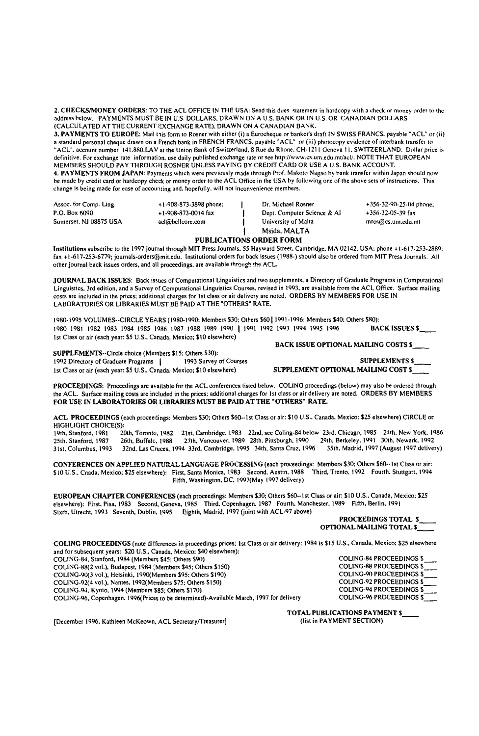2. CHECKS/MONEY ORDERS: TO THE ACL OFFICE IN THE USA: Send this dues statement in hardcopy with a check or money order to the address below. PAYMENTS MUST BE IN U.S. DOLLARS, DRAWN ON A U.S. BANK OR IN U,S. OR CANADIAN DOLLARS (CALCULATED AT THE CURRENT EXCHANGE RATE), DRAWN ON A CANADIAN BANK.

3, PAYMENTS TO EUROPE: Mail this form to Rosner with either (i) a Eurocheque or banker's draft IN SWISS FRANCS. payable "ACL" or (ii)<br>a standard personal cheque drawn on a French bank in FRENCH FRANCS. payable "ACL" or (ii "ACL". account number 141.880.LAV at the Union Bank of Switzerland, 8 Rue du Rhone, CH-I 2I I Geneva I I. SWITZERLAND. Dollar price is definitive. For exchange rate information, use daily published exchange rate or see *http://www.cs.um.edu.mt/acli.* NOTE THAT EUROPEAN MEMBERS SHOULD PAY THROUGH ROSNER UNLESS PAYING BY CREDIT CARD OR USE A U,S. BANK ACCOUNT. 4. PAYMENTS FROM JAPAN: Payments which were previously made through Prof. Makoto Nagao by bank transfer within Japan should now

be made by credit card or hardcopy check or money order to the ACL Office in the USA by following one of the above sets of instructions. This change is being made for ease of accounting and, hopefully, will not inconvenience members.

| Assoc. for Comp. Ling. | $+1.908 - 873 - 3898$ phone; | Dr. Michael Rosner          | $+356-32-90-25-04$ phone: |
|------------------------|------------------------------|-----------------------------|---------------------------|
| P.O. Box 6090          | $+1-908-873-0014$ fax        | Dept. Computer Science & Al | $+356-32-05-39$ fax       |
| Somerset, NJ 08875 USA | acl@bellcore.com             | University of Malta         | mros@cs.um.edu.mt         |
|                        |                              | Msida, MAI TA               |                           |

#### PUBLICATIONS ORDER FORM

Institutions subscribe to the 1997 journal through MIT Press Journals, 55 Hayward Street. Cambridge, MA 02142. USA: phone +1-617-253-2889; fax +1-617-253-6779; journals-orders@mit.edu. Institutional orders for back issues (1988-) should also be ordered from MIT Press Journals. All other journal back issues orders, and all proceedings, are available through the ACL.

JOURNAL BACK ISSUES: Back issues of Computational Linguistics and two supplements, a Directory of Graduate Programs in Computational Linguistics, 3rd edition, and a Survey of Computational Linguistics Courses, revised in I093. are available from the ACL Office. Surface mailing costs are included in the prices; additional charges for 1st class or air delivery are noted. ORDERS BY MEMBERS FOR USE IN LABORATORIES OR LIBRARIES MUST BE PAID AT THE "OTHERS" RATE.

1980-1995 VOLUMES--CIRCLE YEARS (1980-1990: Members \$30; Others \$60 | 1991-1996: Members \$40; Others \$80): 1980 1981 1982 1983 1984 1985 1986 1987 1988 1989 1990 | 1991 1992 1993 1994 1995 1996 **BACK ISSUES \$** 1st Class or air (each year: \$5 U.S., Canada, Mexico; \$10 elsewhere)

SUPPLEMENTS--Circle choice (Members \$15; Others \$30):<br>1992 Directory of Graduate Programs | 1993 Survey of Courses 1992 Directory of Graduate Programs | 1993 Survey of Courses SUPPLEMENTS \$ SUPPLEMENTS \$ SUPPLEMENTS \$ 1st Class or air (each year: \$5 U.S., Canada, Mexico; \$10 elsewhere)

PROCEEDINGS: Proceedings are available for the ACL conferences listed below. COLING proceedings (below) may also be ordered through the ACL. Surface mailing costs are included in the prices: additional charges for 1st class or air delivery are noted. ORDERS BY MEMBERS FOR USE IN LABORATORIES OR LIBRARIES MUST BE PAID ATTHE "OTHERS" RATE.

ACL PROCEEDINGS (each proceedings: Members \$30; Others 560--lst Class or air: \$10 U.S., Canada. Mexico: \$25 elsewhere) CIRCLE or HIGHLIGHT CHOICE(S):<br>19th, Stanford, 1981 20

19th, Stanford, 1981 — 20th, Toronto, 1982 — 21st, Cambridge. 1983 — 22nd, see Coling-84 below - 23rd, Chicago, 1985 — 24th, New York, 1986<br>25th, Stanford, 1987 — 26th, Buffalo, 1988 — 27th, Vancouver, 1989—28th, Pittsburg

CONFERENCES ON APPLIED NATURAL LANGUAGE PROCESSING (each proceedings: Members \$30; Others \$60--1st Class or air:<br>\$10 U.S., Cnada, Mexico; \$25 elsewhere): First, Santa Monica, 1983 Second, Austin, 1988 Third, Trento, 1992 F \$10 U.S., Cnada, Mexico; \$25 elsewhere): First, Santa Monica, 1983 Second. Austin. 1988 Eifth. Washington, DC, 1997(May 1997 delivery)

EUROPEAN CHAPTER CONFERENCES (each proceedings: Members 530; Others \$60--lst Class or air: 510 U.S.. Canada, Mexico; \$25 elsewhere): First. Pisa. 1983 Second, Geneva, t985 Third, Copenhagen. 1987 Fourth. Manchester, 1989 Fifth. Berlin, 1991 Sixth. Utrecht. 1993 Seventh, Dublin, 1995 Eighth, Madrid, 1997 (joint with ACL-97 above)

PROCEEDINGS TOTAL \$ OPTIONAL MAILING TOTAL \$

COLING PROCEEDINGS (note differences in proceedings prices; Ist Class or air delivery: 1984 is \$15 U.S., Canada, Mexico; \$25 elsewhere and for subsequent years: \$20 U.S.. Canada. Mexico: \$40 elsewhere): COLING-84, Stanford, 1984 (Members \$45; Others \$90)<br>
COLING-88(2 vol.), Budapest, 1984 (Members \$45; Others \$150) COLING-88 PROCEEDINGS \$ COLING-88(2 vol.), Budapest. 1984 (Members \$45: Others \$150) COLING-88 PROCEEDINGS \$<br>COLING-90(3 vol.), Helsinki, 1990(Members \$95: Others \$190) COLING-90 PROCEEDINGS \$ COLING-90(3 vol.), Helsinki, 1990(Members \$95: Others \$190)<br>COLING-92(4 vol.), Nantes, 1992(Members \$75: Others \$150) COLING-92 PROCEEDINGS \$ COLING-92(4 vol.), Nantes, 1992(Members \$75: Others \$150) COLING-92 PROCEEDINGS \$<br>COLING-94, Kvoto, 1994 (Members \$85: Others \$170) COLING-94 PROCEEDINGS \$ COLING-94. Kyoto, 1994 (Members \$85; Others \$170)<br>COLING-96. Copenhagen. 1996 Prices to be determined)-Available March. 1997 for delivery COLING-96 PROCEEDINGS COLING-96, Copenhagen. 1996(Prices to be determined)-Available March, 1997 for delivery

[December 1996, Kathleen McKeown, ACL Secretary/Treasurer]

TOTAL PUBLICATIONS PAYMENT \$<br>(list in PAYMENT SECTION)

BACK ISSUE OPTIONAL MAILING COSTS \$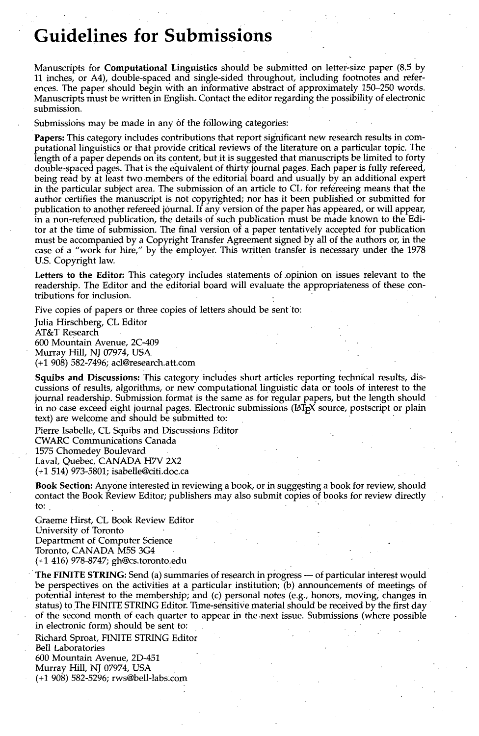### **Guidelines for Submissions**

Manuscripts for **Computational Linguistics** should be submitted on letter-size paper (8.5 by 11 inches, or A4), double-spaced and single-sided throughout, including footnotes and references. The paper should begin with an informative abstract of approximately 150-250 words. Manuscripts must be written in English. Contact the editor regarding the possibility of electronic submission.

Submissions may be made in any of the following categories:

**Papers:** This category includes contributions that report significant new research results in computational linguistics or that provide critical reviews of the literature on a particular topic. The length of a paper depends on its content, but it is suggested that manuscripts be limited to forty double-spaced pages. That is the equivalent of thirty journal pages. Each paper is fully refereed, being read by at least two members of the editorial board and usually by an additional expert in the particular subject area. The submission of an article to CL for refereeing means that the author certifies the manuscript is not copyrighted; nor has it been published or submitted for publication to another refereed journal. If any version of the paper has appeared, or will appear, in a non-refereed publication, the details of such publication must be made known to the Editor at the time of submission. The final version of a paper tentatively accepted for publication must be accompanied by a Copyright Transfer Agreement signed by all of the authors or, in the case of a "work for hire," by the employer. This written transfer is necessary under the 1978 U.S. Copyright law.

Letters to the Editor: This category includes statements of opinion on issues relevant to the readership. The Editor and the editorial board will evaluate the appropriateness of these contributions for inclusion.

Five copies of papers or three copies of letters should be sent to:

Julia Hirschberg, CL Editor AT&T Research 600 Mountain Avenue, 2C-409 Murray Hill, NJ 07974, USA (+1 908) 582-7496; acl@research.att.com

**Squibs and Discussions:** This category includes short articles reporting technical results, discussions of results, algorithms, or new computational linguistic data or tools of interest to the journal readership. Submission format is the same as for regular papers, but the length should in no case exceed eight journal pages. Electronic submissions (L<sup>AT</sup>EX source, postscript or plain text) are welcome and should be submitted to:

Pierre Isabelle, CL Squibs and Discussions Editor CWARC Communications Canada 1575 Chomedey Boulevard Laval, Quebec, CANADA H7V 2X2 (+1 514) 973-5801; isabeUe@citi.doc.ca •

**Book Section:** Anyone interested in reviewing a book, or in suggesting a book for review, should contact the Book Review Editor; publishers may also submit copies of books for review directly to:

Graeme Hirst, CL Book Review Editor University of Toronto Department of Computer Science Toronto, CANADA M5S 3G4 (+1 416) 978-8747; gh@cs.toronto:edu

The FINITE STRING: Send (a) summaries of research in progress -- of particular interest would be perspectives on the activities at a particular institution; (b) announcements of meetings of potential interest to the membership; and (c) personal notes (e.g., honors, moving, changes in status) to The FINITE STRING Editor. Time-sensitive material should be received by the first day of the second month of each quarter to appear in the .next issue. Submissions (where possible in electronic form) should be sent to:

Richard Sproat, FINITE STRING Editor Bell Laboratories 600 Mountain Avenue, 2D-451 Murray Hill, NJ 07974, USA (+1 908) 582-5296; rws@bell-labs.c0m